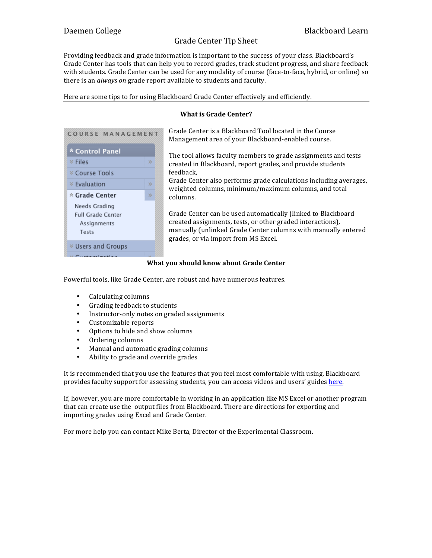Providing feedback and grade information is important to the success of your class. Blackboard's Grade Center has tools that can help you to record grades, track student progress, and share feedback with students. Grade Center can be used for any modality of course (face-to-face, hybrid, or online) so there is an *always on* grade report available to students and faculty.

Here are some tips to for using Blackboard Grade Center effectively and efficiently.

### **What is Grade Center?**



Grade Center is a Blackboard Tool located in the Course Management area of your Blackboard-enabled course.

The tool allows faculty members to grade assignments and tests created in Blackboard, report grades, and provide students feedback,

Grade Center also performs grade calculations including averages, weighted columns, minimum/maximum columns, and total columns.

Grade Center can be used automatically (linked to Blackboard created assignments, tests, or other graded interactions), manually (unlinked Grade Center columns with manually entered grades, or via import from MS Excel.

#### **What you should know about Grade Center**

Powerful tools, like Grade Center, are robust and have numerous features.

- Calculating columns
- Grading feedback to students
- Instructor-only notes on graded assignments
- Customizable reports
- Options to hide and show columns
- Ordering columns
- Manual and automatic grading columns
- Ability to grade and override grades

It is recommended that you use the features that you feel most comfortable with using. Blackboard provides faculty support for assessing students, you can access videos and users' guides here.

If, however, you are more comfortable in working in an application like MS Excel or another program that can create use the output files from Blackboard. There are directions for exporting and importing grades using Excel and Grade Center.

For more help you can contact Mike Berta, Director of the Experimental Classroom.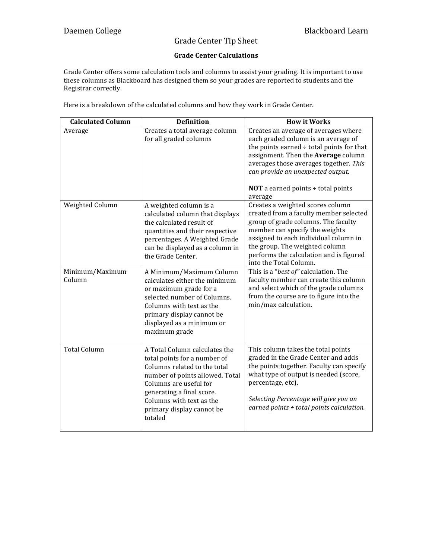## **Grade Center Calculations**

Grade Center offers some calculation tools and columns to assist your grading. It is important to use these columns as Blackboard has designed them so your grades are reported to students and the Registrar correctly.

Here is a breakdown of the calculated columns and how they work in Grade Center.

| <b>Calculated Column</b>  | <b>Definition</b>                                                                                                                                                                                                                                           | <b>How it Works</b>                                                                                                                                                                                                                                                                                              |
|---------------------------|-------------------------------------------------------------------------------------------------------------------------------------------------------------------------------------------------------------------------------------------------------------|------------------------------------------------------------------------------------------------------------------------------------------------------------------------------------------------------------------------------------------------------------------------------------------------------------------|
| Average                   | Creates a total average column<br>for all graded columns                                                                                                                                                                                                    | Creates an average of averages where<br>each graded column is an average of<br>the points earned $\div$ total points for that<br>assignment. Then the Average column<br>averages those averages together. This<br>can provide an unexpected output.<br><b>NOT</b> a earned points $\div$ total points<br>average |
| Weighted Column           | A weighted column is a<br>calculated column that displays<br>the calculated result of<br>quantities and their respective<br>percentages. A Weighted Grade<br>can be displayed as a column in<br>the Grade Center.                                           | Creates a weighted scores column<br>created from a faculty member selected<br>group of grade columns. The faculty<br>member can specify the weights<br>assigned to each individual column in<br>the group. The weighted column<br>performs the calculation and is figured<br>into the Total Column.              |
| Minimum/Maximum<br>Column | A Minimum/Maximum Column<br>calculates either the minimum<br>or maximum grade for a<br>selected number of Columns.<br>Columns with text as the<br>primary display cannot be<br>displayed as a minimum or<br>maximum grade                                   | This is a "best of" calculation. The<br>faculty member can create this column<br>and select which of the grade columns<br>from the course are to figure into the<br>min/max calculation.                                                                                                                         |
| <b>Total Column</b>       | A Total Column calculates the<br>total points for a number of<br>Columns related to the total<br>number of points allowed. Total<br>Columns are useful for<br>generating a final score.<br>Columns with text as the<br>primary display cannot be<br>totaled | This column takes the total points<br>graded in the Grade Center and adds<br>the points together. Faculty can specify<br>what type of output is needed (score,<br>percentage, etc).<br>Selecting Percentage will give you an<br>earned points $\div$ total points calculation.                                   |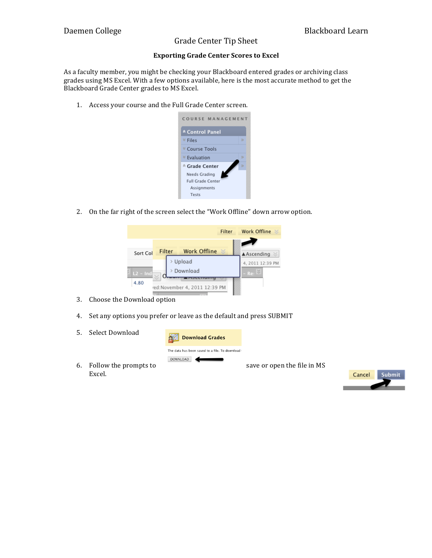### **Exporting Grade Center Scores to Excel**

As a faculty member, you might be checking your Blackboard entered grades or archiving class grades using MS Excel. With a few options available, here is the most accurate method to get the Blackboard Grade Center grades to MS Excel.

1. Access your course and the Full Grade Center screen.



2. On the far right of the screen select the "Work Offline" down arrow option.



- 3. Choose the Download option
- 4. Set any options you prefer or leave as the default and press SUBMIT
- 5. Select Download



- 6. Follow the prompts to save or open the file in MS Excel.
	-